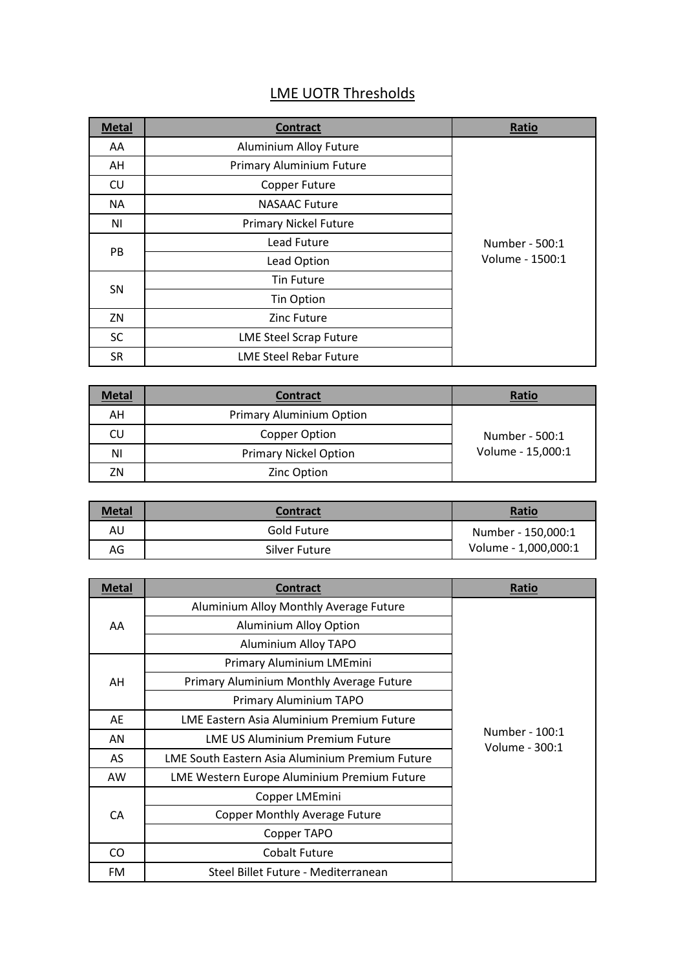## LME UOTR Thresholds

| <b>Metal</b> | <b>Contract</b>               | Ratio                             |
|--------------|-------------------------------|-----------------------------------|
| AA           | Aluminium Alloy Future        |                                   |
| AH           | Primary Aluminium Future      |                                   |
| CU           | Copper Future                 |                                   |
| <b>NA</b>    | <b>NASAAC Future</b>          | Number - 500:1<br>Volume - 1500:1 |
| ΝI           | <b>Primary Nickel Future</b>  |                                   |
| PB           | Lead Future                   |                                   |
|              | Lead Option                   |                                   |
| <b>SN</b>    | Tin Future                    |                                   |
|              | <b>Tin Option</b>             |                                   |
| ZN           | Zinc Future                   |                                   |
| <b>SC</b>    | <b>LME Steel Scrap Future</b> |                                   |
| <b>SR</b>    | <b>LME Steel Rebar Future</b> |                                   |

| <b>Metal</b> | <b>Contract</b>                 | Ratio                               |
|--------------|---------------------------------|-------------------------------------|
| ΑН           | <b>Primary Aluminium Option</b> | Number - 500:1<br>Volume - 15,000:1 |
| CU           | Copper Option                   |                                     |
| ΝI           | <b>Primary Nickel Option</b>    |                                     |
| ΖN           | Zinc Option                     |                                     |

| <b>Metal</b> | <b>Contract</b> | Ratio                |
|--------------|-----------------|----------------------|
| AU           | Gold Future     | Number - 150,000:1   |
| AG           | Silver Future   | Volume - 1,000,000:1 |

| <b>Metal</b> | <b>Contract</b>                                 | <b>Ratio</b>                     |
|--------------|-------------------------------------------------|----------------------------------|
| AA           | Aluminium Alloy Monthly Average Future          | Number - 100:1<br>Volume - 300:1 |
|              | <b>Aluminium Alloy Option</b>                   |                                  |
|              | Aluminium Alloy TAPO                            |                                  |
| AH           | Primary Aluminium LMEmini                       |                                  |
|              | Primary Aluminium Monthly Average Future        |                                  |
|              | Primary Aluminium TAPO                          |                                  |
| AE           | LME Eastern Asia Aluminium Premium Future       |                                  |
| AN           | <b>LME US Aluminium Premium Future</b>          |                                  |
| AS           | LME South Eastern Asia Aluminium Premium Future |                                  |
| AW           | LME Western Europe Aluminium Premium Future     |                                  |
| CA           | Copper LMEmini                                  |                                  |
|              | <b>Copper Monthly Average Future</b>            |                                  |
|              | Copper TAPO                                     |                                  |
| CO           | <b>Cobalt Future</b>                            |                                  |
| FM           | Steel Billet Future - Mediterranean             |                                  |